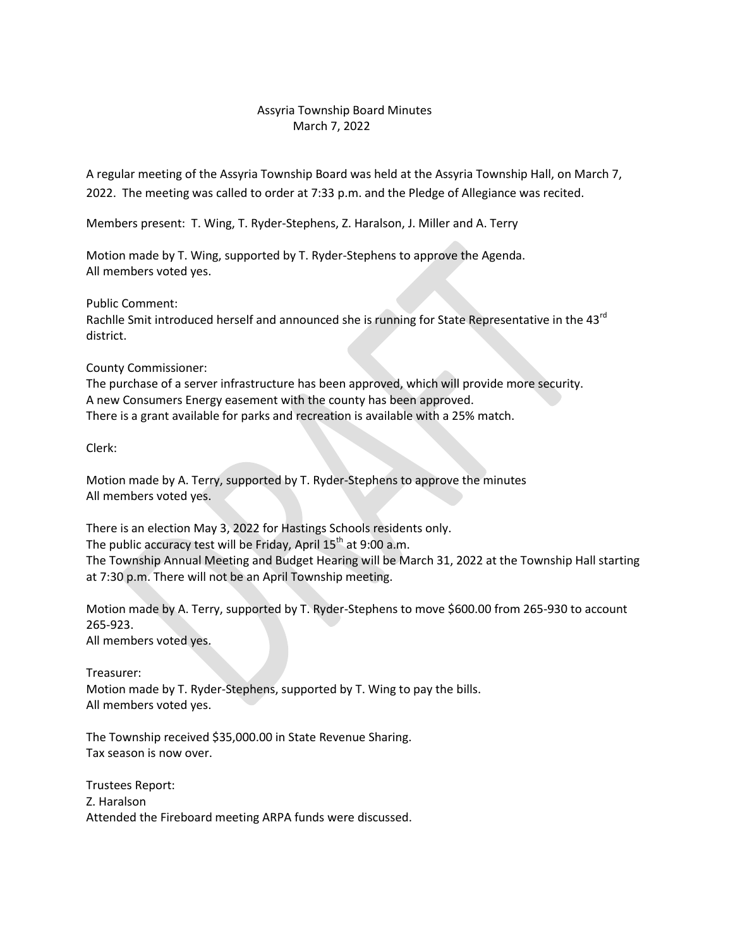## Assyria Township Board Minutes March 7, 2022

A regular meeting of the Assyria Township Board was held at the Assyria Township Hall, on March 7, 2022. The meeting was called to order at 7:33 p.m. and the Pledge of Allegiance was recited.

Members present: T. Wing, T. Ryder-Stephens, Z. Haralson, J. Miller and A. Terry

Motion made by T. Wing, supported by T. Ryder-Stephens to approve the Agenda. All members voted yes.

Public Comment:

Rachlle Smit introduced herself and announced she is running for State Representative in the 43 $^{rd}$ district.

County Commissioner:

The purchase of a server infrastructure has been approved, which will provide more security. A new Consumers Energy easement with the county has been approved. There is a grant available for parks and recreation is available with a 25% match.

Clerk:

Motion made by A. Terry, supported by T. Ryder-Stephens to approve the minutes All members voted yes.

There is an election May 3, 2022 for Hastings Schools residents only. The public accuracy test will be Friday, April  $15<sup>th</sup>$  at 9:00 a.m. The Township Annual Meeting and Budget Hearing will be March 31, 2022 at the Township Hall starting at 7:30 p.m. There will not be an April Township meeting.

Motion made by A. Terry, supported by T. Ryder-Stephens to move \$600.00 from 265-930 to account 265-923.

All members voted yes.

Treasurer:

Motion made by T. Ryder-Stephens, supported by T. Wing to pay the bills. All members voted yes.

The Township received \$35,000.00 in State Revenue Sharing. Tax season is now over.

Trustees Report: Z. Haralson Attended the Fireboard meeting ARPA funds were discussed.